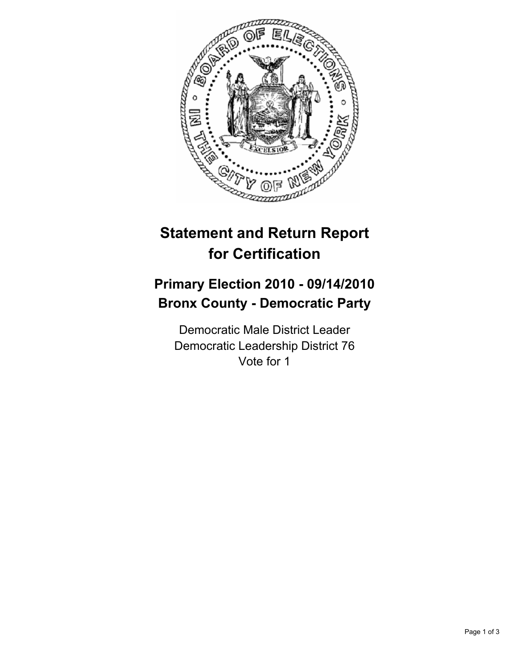

# **Statement and Return Report for Certification**

## **Primary Election 2010 - 09/14/2010 Bronx County - Democratic Party**

Democratic Male District Leader Democratic Leadership District 76 Vote for 1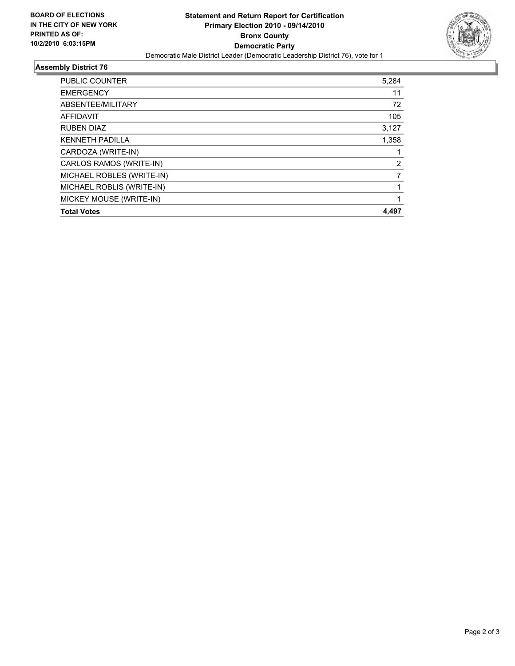

### **Assembly District 76**

| <b>Total Votes</b>        | 4,497 |
|---------------------------|-------|
| MICKEY MOUSE (WRITE-IN)   | 1     |
| MICHAEL ROBLIS (WRITE-IN) |       |
| MICHAEL ROBLES (WRITE-IN) |       |
| CARLOS RAMOS (WRITE-IN)   | 2     |
| CARDOZA (WRITE-IN)        |       |
| <b>KENNETH PADILLA</b>    | 1,358 |
| <b>RUBEN DIAZ</b>         | 3,127 |
| AFFIDAVIT                 | 105   |
| ABSENTEE/MILITARY         | 72    |
| <b>EMERGENCY</b>          | 11    |
| <b>PUBLIC COUNTER</b>     | 5,284 |